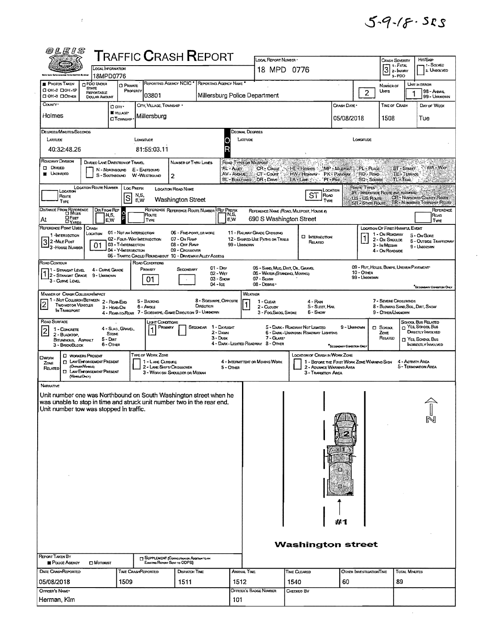## $5 - 9 - 18 - 58$

 $\hat{\mathcal{L}}$ 

| <b>@LEIS</b>                                                                                                                                |                                                      |                                         | <b>TRAFFIC CRASH REPORT</b>                                                  |                                                                                     |                                     |                             |                                                                    |                                                                         |                                       |                                                          |                                                                                                         |                               |                                                                   |
|---------------------------------------------------------------------------------------------------------------------------------------------|------------------------------------------------------|-----------------------------------------|------------------------------------------------------------------------------|-------------------------------------------------------------------------------------|-------------------------------------|-----------------------------|--------------------------------------------------------------------|-------------------------------------------------------------------------|---------------------------------------|----------------------------------------------------------|---------------------------------------------------------------------------------------------------------|-------------------------------|-------------------------------------------------------------------|
|                                                                                                                                             | LOCAL INFORMATION                                    |                                         |                                                                              |                                                                                     |                                     |                             | LOCAL REPORT NUMBER -                                              |                                                                         |                                       |                                                          | Crash Severity                                                                                          |                               | Hrt/Skip<br>1-SOLVED                                              |
| this Low Enforcem                                                                                                                           | 18MPD0776                                            |                                         |                                                                              |                                                                                     |                                     |                             | 18 MPD 0776                                                        |                                                                         |                                       |                                                          | $3$ $\overline{\phantom{a}}$ $\overline{\phantom{a}}$ $\overline{\phantom{a}}$ $\overline{\phantom{a}}$ | 3-PDO                         | 2. UNSOLVED                                                       |
| <b>PHOTOS TAKEN</b>                                                                                                                         | O PDD UNDER<br><b>STATE</b>                          | <b>CI PRIVATE</b>                       |                                                                              | REPORTING AGENCY NCIC <sup>*</sup>                                                  | REPORTING AGENCY NAME               |                             |                                                                    |                                                                         |                                       |                                                          | NUMBER OF                                                                                               |                               | UNIT IN ERROR                                                     |
| CI OH-2 CI OH-1P<br>ДОН-3 ДОТНЕВ                                                                                                            | <b>REPORTABLE</b><br><b>DOLLAR AMOUNT</b>            | PROPERTY                                | 03801                                                                        |                                                                                     |                                     |                             | Millersburg Police Department                                      |                                                                         |                                       | $\overline{2}$                                           | UMTS                                                                                                    |                               | 98 - Animal<br>99 - UNKNOWN                                       |
| COUNTY*                                                                                                                                     |                                                      | □ an •                                  | CITY, VILLAGE, TOWNSHIP *                                                    |                                                                                     |                                     |                             |                                                                    |                                                                         | Crash Date .                          |                                                          | TIME OF CRASH                                                                                           |                               | DAY OF WEEK                                                       |
| Holmes                                                                                                                                      |                                                      | <b>I</b> VILLAGE*<br><b>CIT</b> OWNSHIP | Millersburg                                                                  |                                                                                     |                                     |                             |                                                                    |                                                                         | 05/08/2018                            |                                                          | 1508                                                                                                    |                               | Tue                                                               |
|                                                                                                                                             |                                                      |                                         |                                                                              |                                                                                     |                                     |                             |                                                                    |                                                                         |                                       |                                                          |                                                                                                         |                               |                                                                   |
| Degrees/Minutes/Seconds<br>LATITUDE                                                                                                         |                                                      |                                         | LONGTUDE                                                                     |                                                                                     |                                     |                             | Decimal Degrees<br>LATTUDE                                         |                                                                         |                                       | LONGITUDE                                                |                                                                                                         |                               |                                                                   |
| 40:32:48.26                                                                                                                                 |                                                      |                                         | 81:55:03.11                                                                  |                                                                                     |                                     |                             |                                                                    |                                                                         |                                       |                                                          |                                                                                                         |                               |                                                                   |
| ROADWAY DIVISION                                                                                                                            |                                                      |                                         |                                                                              |                                                                                     |                                     |                             |                                                                    |                                                                         |                                       |                                                          |                                                                                                         |                               |                                                                   |
| <b>DI DIMOED</b>                                                                                                                            | DIVIDED LANE DURECTION OF TRAVEL<br>N - Northbound   |                                         | E - EASTBOUND                                                                | Number of Thru Lanes                                                                |                                     | AL - ALLEY                  | ROAD TYPES ON MILEPOST<br><b>CR-CirclE</b>                         | HE Heights MP - Milerast                                                |                                       | <b>PL-PUGE</b>                                           |                                                                                                         | <b>ST-STREET</b>              | WA - War                                                          |
| <b>B</b> UNDIVIDED                                                                                                                          | S - SouthBound                                       |                                         | W-WESTBOUND                                                                  | 2                                                                                   |                                     | AV - AVENUE<br>BL-BOULEVARD | CT-Count<br>DR - Dave                                              | HW-HIGHWAY PKEPARKWAY<br>LA-LAKE SALL, PI-PIKE                          |                                       | <b>RD-ROAD</b><br><b>SQ-SOUARE</b>                       |                                                                                                         | <b>TE-TERRACE</b><br>TL-TRAIL |                                                                   |
| Location                                                                                                                                    | LOCATION FLOUTE NUMBER                               |                                         | Loc Prefix                                                                   | <b>LOCATION ROAD NAME</b>                                                           |                                     |                             |                                                                    |                                                                         | Location                              | ROUTE TYPES<br><b>IR-INTERSTATE ROUTE (INC. TURNAKE)</b> |                                                                                                         |                               |                                                                   |
| Roune<br>TYPE                                                                                                                               |                                                      | ls                                      | N,S,<br>E,W                                                                  | Washington Street                                                                   |                                     |                             |                                                                    | ST<br>ROAD<br>TYPE                                                      |                                       | US - US Route<br><b>SR-STATE ROUTE</b>                   |                                                                                                         |                               | <b>CR - NUMBERED COUNTY ROUTE</b><br>TR - NUMBERED TOWNSHIP ROUTE |
| DISTANCE FROM REFERENCE                                                                                                                     | Dar From Ref                                         |                                         |                                                                              | REFERENCE REFERENCE ROUTE NUMBER REF PREFIX                                         |                                     |                             |                                                                    | REFERENCE NAME (ROAD, MILEPOST, HOUSE 1)                                |                                       |                                                          |                                                                                                         |                               | REFERENCE                                                         |
| $\Box$ Feet<br>At<br><b>LYARDS</b>                                                                                                          | N,S,<br>E,W                                          | F                                       | Route<br>TYPE                                                                |                                                                                     |                                     | N,S,<br>E,W                 | 690 S Washington Street                                            |                                                                         |                                       |                                                          |                                                                                                         |                               | ROAD<br>Type                                                      |
| REFERENCE POINT USED                                                                                                                        | Crash<br>LOCATION                                    |                                         | 01 - Not an Intersection                                                     | 06 - FIVE-POINT, OR MORE                                                            |                                     |                             | 11 - RALWAY GRADE CROSSING                                         |                                                                         |                                       | <b>LOCATION OF FIRST HARMFUL EVENT</b>                   | 1 - On ROADWAY                                                                                          |                               |                                                                   |
| 1 INTERSECTION<br>32-MILE Post                                                                                                              |                                                      | 03 - T-Intersection                     | 02 - FOUR-WAY INTERSECTION                                                   | 07 - On RAMP<br>08 - OFF RAMP                                                       |                                     |                             | 12 - SHARED-USE PATHS OR TRAILS                                    | <b>D</b> INTERSECTION<br>Related                                        |                                       |                                                          | 2 - On Shoulde                                                                                          |                               | 5 - On Gore<br><b>6 - OUTSIDE TRAFFICWAY</b>                      |
| 3 - House Number                                                                                                                            | 01                                                   | 04 - Y-IMERSECTION                      |                                                                              | 09 - CROSSOVER                                                                      |                                     | 99 - Unigiown               |                                                                    |                                                                         |                                       |                                                          | 3 - In MEDIAN<br>4 - On Roadside                                                                        |                               | 9 - UNKNOWN                                                       |
| ROAD CONTOUR                                                                                                                                |                                                      |                                         | 05 - TRAFFIC CIRCLE/ROUNDABOUT 10 - DRIVEWAY/ALLEY AccESS<br>ROAD CONDITIONS |                                                                                     |                                     |                             |                                                                    |                                                                         |                                       |                                                          |                                                                                                         |                               |                                                                   |
| 1 - STRAIGHT LEVEL<br>2 - Straight Grade                                                                                                    | 4 - CURVE GRADE<br>9 - Lingvown                      |                                         | Primary                                                                      | Secondary                                                                           | $01 - \text{Div}$<br>02 - Wer       |                             | 05 - SAND, MUD, DHIT, OIL, GRAVEL<br>06 - WATER (STANDING, MOVING) |                                                                         |                                       | 09 - RUT, HOLES, BUMPS, UNEVEN PAVEMENT<br>10 - Omer     |                                                                                                         |                               |                                                                   |
| 3 - CURVE LEVEL                                                                                                                             |                                                      |                                         | 01                                                                           |                                                                                     | 03 - Snow<br>04 - Ice               |                             | $07 -$ Sush<br>08 - Deans                                          |                                                                         |                                       | 99 - Ungnown                                             |                                                                                                         |                               |                                                                   |
| <b>MANNER OF CRASH COLLISION/IMPACT</b>                                                                                                     |                                                      |                                         |                                                                              |                                                                                     |                                     |                             | WEATHER                                                            |                                                                         |                                       |                                                          |                                                                                                         |                               | <sup>*</sup> SEODHIARY CONDITION ONLY                             |
| $\overline{2}$<br>Two MOTOR VEHICLES                                                                                                        | 1 - Not Collision Between 2 - Rear-End               |                                         | 5 - BACKING<br>6 - Angle                                                     |                                                                                     | 8 - Sineswire, Orrosme<br>DIRECTION |                             | $1 - C$ LEAR                                                       | 4 - Ran<br><b>S-SLEET, HAIL</b>                                         |                                       |                                                          | 7 - SEVERE CROSSWINDS                                                                                   |                               | 8 - Blowing Sand, Sol, Dirt, Snow                                 |
| IN TRANSPORT                                                                                                                                | 3 - HEAD-ON                                          |                                         | 4 - REAR-TO-REAR 7 - SIDESWIPE, SAME DIRECTION 9 - UNKNOWN                   |                                                                                     |                                     |                             | 2-CLOUDY<br>3 - Fog, Smog, Smoke                                   | 5 - Snow                                                                |                                       |                                                          | 9 - Other/Lingwown                                                                                      |                               |                                                                   |
| ROAD SURFACE                                                                                                                                |                                                      |                                         | Цант Сомоптома                                                               | PRIMARY                                                                             | 1 - DAYUGHT<br>SECONDAR             |                             |                                                                    | 5 - DARK - ROADWAY NOT LIGHTED                                          | 9 - Unknown                           |                                                          | $\square$ School.                                                                                       |                               | SCHOOL BUS RELATED<br>C YES, SCHOOL Bus                           |
| $\overline{2}$<br>1 - CONCRETE<br>2 - BLACKTOP.                                                                                             | <b>STONE</b>                                         | 4 - Slag, Gravel                        |                                                                              |                                                                                     | 2 - Dawn<br>$3 - D$ USK             |                             | 7 - GLARE*                                                         | 6 - DARK - UNKNOWN ROADWAY LIGHTING                                     |                                       |                                                          | Zone<br>RELATED                                                                                         |                               | <b>DIRECTLY INVOLVED</b>                                          |
| BITUMINOUS, ASPHALT<br>3 - Brick Block                                                                                                      | 5 - Dirt<br>6 - OTHER                                |                                         |                                                                              |                                                                                     |                                     |                             | 4 - DARK - LIGHTED ROADWAY 8 - OTHER                               |                                                                         | <sup>*</sup> S£canaway Canattion Ont. |                                                          |                                                                                                         |                               | <b>T</b> Yes, Schdol Bus<br>INDIRECTLY INVOLVED                   |
| OWORK                                                                                                                                       | <b>D</b> WORKERS PRESENT                             |                                         | TYPE OF WORK ZONE                                                            |                                                                                     |                                     |                             |                                                                    | <b>LOCATION OF CRASH IN WORK ZONE</b>                                   |                                       |                                                          |                                                                                                         |                               |                                                                   |
| ZONE<br>RELATED                                                                                                                             | <b>TELAW ENFORCEMENT PRESENT</b><br>(Officen/Vencue) |                                         | 1 - LANE CLOSURE                                                             | 2 - LANE SHIFT/ CROSSOVER                                                           |                                     | 5 - OTHER                   | 4 - INTERMITTENT OR MOVING WORK                                    | 1 - BEFORE THE FIRST WORK ZONE WARNING SIGN<br>2 - ADVANCE WARNING AREA |                                       |                                                          |                                                                                                         | 4 - Activity Area             | 5 - Termination Area                                              |
| п<br>(VENGEONLY)                                                                                                                            | <b>LAW ENFORCEMENT PRESENT</b>                       |                                         |                                                                              | 3 - WORK ON SHOULDER OR MEDIAN                                                      |                                     |                             |                                                                    | <b>3 - TRANSITION AREA</b>                                              |                                       |                                                          |                                                                                                         |                               |                                                                   |
| NARRATIVE                                                                                                                                   |                                                      |                                         |                                                                              |                                                                                     |                                     |                             |                                                                    |                                                                         |                                       |                                                          |                                                                                                         |                               |                                                                   |
| Unit number one was Northbound on South Washington street when he<br>was unable to stop in time and struck unit number two in the rear end. |                                                      |                                         |                                                                              |                                                                                     |                                     |                             |                                                                    |                                                                         |                                       |                                                          |                                                                                                         |                               |                                                                   |
| Unit number tow was stopped in traffic.                                                                                                     |                                                      |                                         |                                                                              |                                                                                     |                                     |                             |                                                                    |                                                                         |                                       |                                                          |                                                                                                         |                               |                                                                   |
|                                                                                                                                             |                                                      |                                         |                                                                              |                                                                                     |                                     |                             |                                                                    |                                                                         |                                       |                                                          |                                                                                                         |                               | N                                                                 |
|                                                                                                                                             |                                                      |                                         |                                                                              |                                                                                     |                                     |                             |                                                                    |                                                                         |                                       |                                                          |                                                                                                         |                               |                                                                   |
|                                                                                                                                             |                                                      |                                         |                                                                              |                                                                                     |                                     |                             |                                                                    |                                                                         |                                       |                                                          |                                                                                                         |                               |                                                                   |
|                                                                                                                                             |                                                      |                                         |                                                                              |                                                                                     |                                     |                             |                                                                    |                                                                         |                                       |                                                          |                                                                                                         |                               |                                                                   |
|                                                                                                                                             |                                                      |                                         |                                                                              |                                                                                     |                                     |                             |                                                                    |                                                                         |                                       |                                                          |                                                                                                         |                               |                                                                   |
|                                                                                                                                             |                                                      |                                         |                                                                              |                                                                                     |                                     |                             |                                                                    |                                                                         |                                       |                                                          |                                                                                                         |                               |                                                                   |
|                                                                                                                                             |                                                      |                                         |                                                                              |                                                                                     |                                     |                             |                                                                    |                                                                         |                                       |                                                          |                                                                                                         |                               |                                                                   |
|                                                                                                                                             |                                                      |                                         |                                                                              |                                                                                     |                                     |                             |                                                                    |                                                                         |                                       |                                                          |                                                                                                         |                               |                                                                   |
|                                                                                                                                             |                                                      |                                         |                                                                              |                                                                                     |                                     |                             |                                                                    |                                                                         |                                       |                                                          |                                                                                                         |                               |                                                                   |
|                                                                                                                                             |                                                      |                                         |                                                                              |                                                                                     |                                     |                             |                                                                    |                                                                         |                                       |                                                          |                                                                                                         |                               |                                                                   |
|                                                                                                                                             |                                                      |                                         |                                                                              |                                                                                     |                                     |                             |                                                                    |                                                                         | #1                                    |                                                          |                                                                                                         |                               |                                                                   |
|                                                                                                                                             |                                                      |                                         |                                                                              |                                                                                     |                                     |                             |                                                                    |                                                                         |                                       |                                                          |                                                                                                         |                               |                                                                   |
|                                                                                                                                             |                                                      |                                         |                                                                              |                                                                                     |                                     |                             |                                                                    | <b>Washington street</b>                                                |                                       |                                                          |                                                                                                         |                               |                                                                   |
| <b>REPORT TAKEN BY</b>                                                                                                                      |                                                      |                                         |                                                                              |                                                                                     |                                     |                             |                                                                    |                                                                         |                                       |                                                          |                                                                                                         |                               |                                                                   |
| <b>R</b> POLICE AGENCY                                                                                                                      | <b>□ Motorist</b>                                    |                                         |                                                                              | <b>TI SUPPLEMENT (CORRECTION OR ADDITION TO AN</b><br>Existing Report Sout to ODPS) |                                     |                             |                                                                    |                                                                         |                                       |                                                          |                                                                                                         |                               |                                                                   |
| DATE CRASHREPORTED                                                                                                                          |                                                      |                                         | Time CrashReported                                                           | <b>DISPATCH TIME</b>                                                                |                                     |                             | ARRIVAL TIME                                                       | TIME CLEARED                                                            |                                       | OTHER INVESTIGATION TIME                                 |                                                                                                         | TOTAL MINUTES                 |                                                                   |
| 05/08/2018                                                                                                                                  |                                                      | 1509                                    |                                                                              | 1511                                                                                |                                     | 1512                        |                                                                    | 1540                                                                    | 60                                    |                                                          |                                                                                                         | 89                            |                                                                   |
| OFFICER'S NAME*                                                                                                                             |                                                      |                                         |                                                                              |                                                                                     |                                     |                             | Officer's Badge Number                                             | CHECKED BY                                                              |                                       |                                                          |                                                                                                         |                               |                                                                   |
| Herman, Kîm                                                                                                                                 |                                                      |                                         |                                                                              |                                                                                     |                                     | 101                         |                                                                    |                                                                         |                                       |                                                          |                                                                                                         |                               |                                                                   |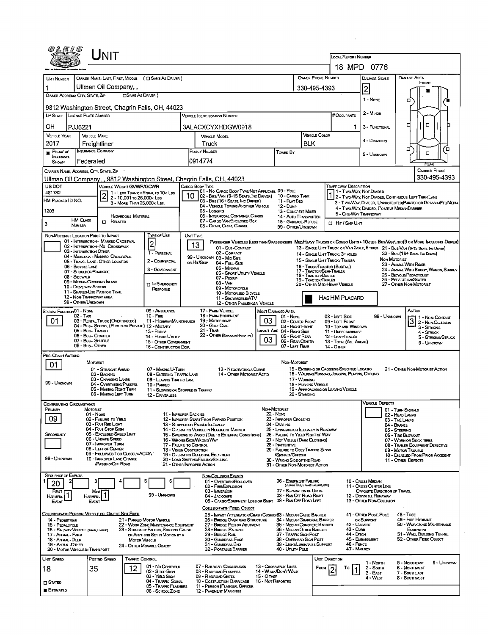| 0 L E I S                                                 |                                                      | UNIT                                                                             |                            |                                                                                 |                                                   |                                                                           |                                                                                                                                 |                                        |                                                                       |                                                  |                       |                                                                 |                                                        |                                    |                                                                                                                                                                                                                   |
|-----------------------------------------------------------|------------------------------------------------------|----------------------------------------------------------------------------------|----------------------------|---------------------------------------------------------------------------------|---------------------------------------------------|---------------------------------------------------------------------------|---------------------------------------------------------------------------------------------------------------------------------|----------------------------------------|-----------------------------------------------------------------------|--------------------------------------------------|-----------------------|-----------------------------------------------------------------|--------------------------------------------------------|------------------------------------|-------------------------------------------------------------------------------------------------------------------------------------------------------------------------------------------------------------------|
|                                                           |                                                      |                                                                                  |                            |                                                                                 |                                                   |                                                                           |                                                                                                                                 |                                        |                                                                       |                                                  |                       | <b>LOCAL REPORT NUMBER</b>                                      |                                                        |                                    |                                                                                                                                                                                                                   |
|                                                           |                                                      |                                                                                  |                            |                                                                                 |                                                   |                                                                           |                                                                                                                                 |                                        |                                                                       |                                                  |                       |                                                                 | 18 MPD 0776                                            |                                    |                                                                                                                                                                                                                   |
| <b>UNT NUMBER</b>                                         |                                                      |                                                                                  |                            | OWNER NAME: LAST, FIRST, MIDDLE ( $\square$ SAME AS DRIVER )                    |                                                   |                                                                           |                                                                                                                                 |                                        |                                                                       | OWNER PHONE NUMBER                               |                       |                                                                 | <b>DAMAGE SCALE</b>                                    |                                    | <b>DAMAGE AREA</b><br>FRONT                                                                                                                                                                                       |
|                                                           |                                                      | Ullman Oil Company, ,                                                            | <b>CISAME AS DRIVER</b> )  |                                                                                 |                                                   |                                                                           |                                                                                                                                 |                                        |                                                                       | 330-495-4393                                     |                       |                                                                 | $\overline{2}$                                         |                                    |                                                                                                                                                                                                                   |
| OWNER ADDRESS: CITY, STATE, ZIP                           |                                                      |                                                                                  |                            |                                                                                 |                                                   |                                                                           |                                                                                                                                 |                                        |                                                                       |                                                  |                       |                                                                 | 1 - None                                               |                                    | □                                                                                                                                                                                                                 |
| LP STATE   LICENSE PLATE NUMBER                           |                                                      |                                                                                  |                            | 9812 Washington Street, Chagrin Falls, OH, 44023                                |                                                   |                                                                           |                                                                                                                                 |                                        |                                                                       |                                                  |                       | # Occupants                                                     | 2 - MINOR                                              |                                    |                                                                                                                                                                                                                   |
|                                                           |                                                      |                                                                                  |                            |                                                                                 |                                                   | <b>VEHICLE IDENTIFICATION NUMBER</b>                                      |                                                                                                                                 |                                        |                                                                       |                                                  |                       |                                                                 |                                                        |                                    | $\Box$<br>□                                                                                                                                                                                                       |
| он<br><b>VEHICLE YEAR</b>                                 | PJJ6221<br><b>VEHICLE MAKE</b>                       |                                                                                  |                            |                                                                                 |                                                   |                                                                           | 3ALACXCYXHDGW0918                                                                                                               |                                        |                                                                       | <b>VEHICLE COLOR</b>                             |                       |                                                                 | 3 - FUNCTIONAL                                         |                                    |                                                                                                                                                                                                                   |
| 2017                                                      | Freightliner                                         |                                                                                  |                            |                                                                                 |                                                   | <b>VEHICLE MODEL</b><br>Truck                                             |                                                                                                                                 |                                        |                                                                       | <b>BLK</b>                                       |                       |                                                                 | 4 - Disabling                                          |                                    |                                                                                                                                                                                                                   |
| $P$ Roof of                                               | Insurance Company                                    |                                                                                  |                            |                                                                                 |                                                   | POLICY NUMBER                                                             |                                                                                                                                 |                                        | Towen By                                                              |                                                  |                       |                                                                 | 9 - Unknown                                            |                                    | ֿם<br>ם<br>$\Box$                                                                                                                                                                                                 |
| INSURANCE<br><b>SHOWN</b>                                 | Federated                                            |                                                                                  |                            |                                                                                 |                                                   | 0914774                                                                   |                                                                                                                                 |                                        |                                                                       |                                                  |                       |                                                                 |                                                        |                                    |                                                                                                                                                                                                                   |
| CARRIER NAME, ADDRESS, CITY, STATE, ZIP                   |                                                      |                                                                                  |                            |                                                                                 |                                                   |                                                                           |                                                                                                                                 |                                        |                                                                       |                                                  |                       |                                                                 |                                                        |                                    | <b>CARRIER PHONE</b>                                                                                                                                                                                              |
| US DOT                                                    |                                                      | VEHICLE WEIGHT GWWR/GCWR                                                         |                            | Ullman Oil Company, , 9812 Washington Street, Chagrin Falls, OH, 44023          | CARGO BODY TYPE                                   |                                                                           |                                                                                                                                 |                                        |                                                                       |                                                  |                       | TRAFFICWAY DESCRIPTION                                          |                                                        |                                    | 330-495-4393                                                                                                                                                                                                      |
| 481732                                                    |                                                      |                                                                                  |                            | 1 - LESS THAN OR EQUAL TO 10K LBS<br>2 - 10.001 TO 26 DOO                       | 10                                                |                                                                           | 101 - No Cargo Booy Type/Not Applicasl, 09 - Pole<br>02 - Bus/VAN (9-15 SEATS, INC DRIVER) 10 - CARGO TANK                      |                                        |                                                                       |                                                  |                       | 1 - Two-Way, Not Divided                                        |                                                        |                                    |                                                                                                                                                                                                                   |
| HM PLACARD ID NO.                                         |                                                      |                                                                                  | 3 - MORE THAN 26,000K LBS. |                                                                                 |                                                   |                                                                           | 03 - Bus (16+ Seats, Inc Driver)<br><b>D4 - VEHICLE TOWING ANOTHER VEHICLE</b>                                                  |                                        | 11 - FLAT BED<br>12 - Duwp                                            |                                                  |                       |                                                                 |                                                        |                                    | 2 - Two-Way, NOT DIMDED, CONTINUOUS LEFT TURN LANE<br>3 - T WO-WAY, DIVIDED, UNPROTECTED (PAINTED OR GRASS >4FT.) MEDIA                                                                                           |
| 1203                                                      |                                                      |                                                                                  | <b>HAZARDOUS MATERIAL</b>  |                                                                                 |                                                   | 05 - Logging                                                              | 06 - INTERMODAL CONTAINER CHASIS                                                                                                |                                        | 13 - CONCRETE MIXER<br>14 - AUTO TRANSPORTER                          |                                                  |                       | 5 - ONE-WAY TRAFFICWAY                                          | 4 - Two-Way, DIMDED, POSITIVE MEDIANBARRIER            |                                    |                                                                                                                                                                                                                   |
| 3                                                         | HM CLASS<br><b>NUMBER</b>                            | $\Box$<br>RELATED                                                                |                            |                                                                                 |                                                   |                                                                           | 07 - CARGO VAN/ENCLOSED BOX<br>08 - GRAIN, CHIPS, GRAVEL                                                                        |                                        | 15 - GARBAGE / REFUSE<br>99 - OTHER/UNKNOWN                           |                                                  |                       | <b>CL HIT/SKIP UNT</b>                                          |                                                        |                                    |                                                                                                                                                                                                                   |
| NON-MOTORIST LOCATION PRIOR TO IMPACT                     |                                                      |                                                                                  |                            | <b>TYPE OF USE</b>                                                              | <b>UNIT TYPE</b>                                  |                                                                           |                                                                                                                                 |                                        |                                                                       |                                                  |                       |                                                                 |                                                        |                                    |                                                                                                                                                                                                                   |
|                                                           |                                                      | 01 - INTERSECTION - MARKED CROSSWAL<br>02 - INTERSECTION - NO CROSSWALK          |                            | $\overline{2}$                                                                  | 13                                                |                                                                           | 01 - Sub-COMPACT                                                                                                                |                                        |                                                                       |                                                  |                       |                                                                 |                                                        |                                    | PASSENGER VEHICLES (LESS THAN 9 PASSENGERS MED/HEAVY TRUCKS OR COMBO UNITS > 10K LBS BUS/VAN/LIMO(9 OR MORE INCLUDING DRIVER)<br>13 - SINGLE UNT TRUCK OR VAN 2AXLE, 6 TIRES 21 - BUS/VAN (9-15 SEATS, INC DRAFE) |
|                                                           | 03 - INTERSECTION OTHER                              | 04 - MIDBLOCK - MARKED CROSSWALK                                                 |                            | 1 - PERSONAL                                                                    |                                                   |                                                                           | 02 - COMPACT<br>99 - Unknown 03 - Mid Size                                                                                      |                                        |                                                                       |                                                  |                       | 14 - SINGLE UNIT TRUCK; 3+ AXLES                                |                                                        |                                    | 22 - Bus (16+ Seats, Inc Driver)                                                                                                                                                                                  |
|                                                           | 06 - BICYCLE LANE                                    | 05 - TRAVEL LANE - OTHER LOCATION                                                |                            | 2 - COMMERCIAL                                                                  | OR HIT/SKIP                                       |                                                                           | 04 - Full Size<br>05 - Mintvan                                                                                                  |                                        |                                                                       |                                                  |                       | 15 - SINGLE UNIT TRUCK / TRAILER<br>16 - Truck/Tractor (Bostal) |                                                        | Non-Motorist                       | 23 - AMMAL WITH RIDER                                                                                                                                                                                             |
| 08 - Sidewalk                                             | 07 - SHOULDER/ROADSIDE                               |                                                                                  |                            | 3 - GOVERNMENT                                                                  |                                                   |                                                                           | 06 - SPORT UTILITY VEHICLE<br>07 - Prokup                                                                                       |                                        |                                                                       | 17 - Tractor/Semi-Trailer<br>18 - TRACTOR/DOUBLE |                       |                                                                 |                                                        |                                    | 24 - ANIMAL WITH BUGGY, WAGON, SURREY<br>25 - BICYCLE/PEDACYCLIST                                                                                                                                                 |
|                                                           | 09 - MEOIAN CROSSING ISLAND<br>10 - DRIVE WAY ACCESS |                                                                                  |                            | <b>IN EMERGENCY</b>                                                             |                                                   |                                                                           | 08 - VAN<br>09 - Motorcycle                                                                                                     |                                        |                                                                       | <b>19 - TRACTOR/TRIPLES</b>                      |                       | 20 - OTHER MED/HEAVY VEHICLE                                    |                                                        |                                    | 26 - PEDESTRIAN SKATER<br>27 - OTHER NON-MOTORIST                                                                                                                                                                 |
|                                                           | 12 - NON-TRAFFICWAY AREA                             | 11 - SHARED-USE PATH OR TRAIL                                                    |                            | RESPONSE                                                                        |                                                   |                                                                           | 10 - MOTORIZED BICYCLE<br>11 - SNOWMOBILE/ATV                                                                                   |                                        |                                                                       |                                                  |                       | HAS HM PLACARD                                                  |                                                        |                                    |                                                                                                                                                                                                                   |
|                                                           | 99 - OTHER/UNKNOWN                                   |                                                                                  |                            |                                                                                 |                                                   |                                                                           | <b>12 - OTHER PASSENGER VEHICLE</b>                                                                                             |                                        |                                                                       |                                                  |                       |                                                                 |                                                        |                                    |                                                                                                                                                                                                                   |
| SPECIAL FUNCTION 01 - NONE                                | $02 - TAT$                                           |                                                                                  |                            | 09 - AMBULANCE<br>$10 -$ Fire                                                   |                                                   | 17 - FARM VEHICLE<br>18 - FARM EQUIPMENT                                  |                                                                                                                                 |                                        | MOST DAMAGED AREA<br>01 - None                                        |                                                  |                       | 08 - LEFT SIDE                                                  |                                                        | 99 - UNKNOWN                       | Астом<br>1 1 - Non-Contact                                                                                                                                                                                        |
| 01                                                        |                                                      | 03 - RENTAL TRUCK (OVER 10KLBS)                                                  |                            | 11 - HIGHWAY/MAINTENANCE<br>04 - Bus - SCHOOL (PUBLIC OR PRIVATE) 12 - MILITARY |                                                   | 19 - Мотовноме<br>20 - Golf CART                                          |                                                                                                                                 | 03                                     | 02 - CENTER FRONT<br>03 - Right Front                                 |                                                  |                       | 09 - LEFT FRONT<br>10 - Top and Windows                         |                                                        |                                    | 3<br>2 - Non-Collision<br>3 - Striking                                                                                                                                                                            |
|                                                           | 05 - Bus - Transit<br>06 - Bus - CHARTER             |                                                                                  |                            | 13 - Pouce<br>14 - Pusuc UTTUTY                                                 |                                                   | $21 -$ Tran                                                               | 22 - OTHER (EXPLAN IN NARATIVE)                                                                                                 |                                        | MPACT ARE 04 - RIGHT SIDE<br>05 - RIGHT REAR                          |                                                  |                       | 11 - UNDERCARRIAGE<br>12 LOAD/TRAILER                           |                                                        |                                    | 4 - STRUCK<br>5 - STRIKING/STRUCK                                                                                                                                                                                 |
|                                                           | 07 - Bus - SHUTTLE<br>08 - Bus - Other               |                                                                                  |                            | 15 - OTHER GOVERNMENT<br>16 - CONSTRUCTION EQP.                                 |                                                   |                                                                           |                                                                                                                                 | 03.                                    | 06 - REAR CENTER<br>07 - LEFT REAR                                    |                                                  |                       | 13 - TOTAL (ALL AREAS)<br>14 - Отнев                            |                                                        |                                    | 9 - UNKNOWN                                                                                                                                                                                                       |
| <b>PRE-CRASH ACTIONS</b>                                  |                                                      |                                                                                  |                            |                                                                                 |                                                   |                                                                           |                                                                                                                                 |                                        |                                                                       |                                                  |                       |                                                                 |                                                        |                                    |                                                                                                                                                                                                                   |
| 01                                                        | MOTORIST                                             | 01 - Straight Ahead                                                              |                            | 07 - MAKING U-TURN                                                              |                                                   |                                                                           | 13 - Negotiating a Curve                                                                                                        |                                        | Non-Motorist                                                          |                                                  |                       | 15 - ENTERING OR CROSSING SPECIFIED LOCATIO                     |                                                        |                                    | 21 - OTHER NON-MOTORIST ACTION                                                                                                                                                                                    |
|                                                           |                                                      | 02 - BACKING<br>03 - CHANGING LANES                                              |                            | 08 - ENTERING TRAFFIC LANE<br>09 - LEAVING TRAFFIC LANE                         |                                                   |                                                                           | 14 - OTHER MOTORIST ACTIO                                                                                                       |                                        |                                                                       | 17 - Worldng                                     |                       | 16 - WALKING RUNNING, JOSGING, PLAYING, CYCLING                 |                                                        |                                    |                                                                                                                                                                                                                   |
| 99 - UNKNOWN                                              |                                                      | 04 - OVERTAKING/PASSING<br>05 - MAKING RIGHT TURN                                |                            | 10 - PARKED<br>11 - Slowing or Stopped in Traffic                               |                                                   |                                                                           |                                                                                                                                 |                                        |                                                                       | 18 - Pushing Vehicle                             |                       | 19 - APPROACHING OR LEAVING VEHICLE                             |                                                        |                                    |                                                                                                                                                                                                                   |
|                                                           |                                                      | 06 - MAKING LEFT TURN                                                            |                            | 12 - DRIVERLESS                                                                 |                                                   |                                                                           |                                                                                                                                 |                                        |                                                                       | 20 - STANDING                                    |                       |                                                                 | <b>VEHICLE DEFECTS</b>                                 |                                    |                                                                                                                                                                                                                   |
| CONTRIBUTING CIRCUMSTANCE<br>PRIMARY                      | MOTORIST                                             |                                                                                  |                            |                                                                                 |                                                   |                                                                           |                                                                                                                                 | NON-MOTORIST                           |                                                                       |                                                  |                       |                                                                 |                                                        |                                    | 01 - TURN SIGNALS                                                                                                                                                                                                 |
| 09                                                        | $01 - None$                                          | 02 - FAILURE TO YIELD                                                            |                            |                                                                                 | 11 - IMPROPER BACKING                             |                                                                           | 12 - IMPROPER START FROM PARKED POSITION                                                                                        |                                        | <b>22 NONE</b><br>23 - IMPROPER CROSSING                              |                                                  |                       |                                                                 |                                                        | 02 - HEAD LAMPS<br>03 - Tall LAMPS |                                                                                                                                                                                                                   |
|                                                           |                                                      | 03 - RAN RED LIGHT<br>04 - Rw Stop Sion                                          |                            |                                                                                 |                                                   | 13 - Stopped or Parked ILLEGALLY                                          | 14 - OPERATING VEHICLE IN NEGLIGENT MANNER                                                                                      |                                        | 24 - Darting<br>25 - LYING ANDIOR LLEGALLY IN ROADWAY                 |                                                  |                       |                                                                 |                                                        | 04 - BRAKES<br>05 - STEERING       |                                                                                                                                                                                                                   |
| SECONDARY                                                 |                                                      | 05 - Exceeded Speed Limit<br>06 - UNSAFE SPEED                                   |                            |                                                                                 |                                                   | 16 - WRONG SIDE/WRONG WAY                                                 | 15 - SWERING TO AVOID (DUE TO EXTERNAL CONDITIONS)                                                                              |                                        | 26 - FALURE TO YIELD RIGHT OF WAY<br>27 - Not Visible (DARK CLOTHING) |                                                  |                       |                                                                 |                                                        |                                    | 06 - TIRE BLOWOUT<br>07 - WORN OR SLICK TIRES                                                                                                                                                                     |
|                                                           |                                                      | 07 - IMPROPER TURN<br>08 - LEFT OF CENTER                                        |                            |                                                                                 | 17 - FALURE TO CONTROL<br>18 - Vision Obstruction |                                                                           |                                                                                                                                 |                                        | 28 - INATTENTIVE<br>29 - FAILURE TO OBEY TRAFFIC SIGNS                |                                                  |                       |                                                                 |                                                        |                                    | 08 - TRAILER EQUIPMENT DEFECTIVE<br>09 - Motor Trouble                                                                                                                                                            |
| 99 - Unknown                                              |                                                      | 09 - FOLLOWED TOO CLOSELY/ACDA<br>10 - IMPROPER LANE CHANGE<br>/PASSING OFF ROAD |                            |                                                                                 |                                                   | 19 - OPERATING DEFECTIVE EQUIPMENT<br>20 - LOAD SHIFTING/FALLING/SPILLING |                                                                                                                                 |                                        | /SIGNALS/OFFICER<br>30 - WRONG SIDE OF THE ROAD                       |                                                  |                       |                                                                 |                                                        |                                    | 10 - DISABLED FROM PRIOR ACCIDENT<br>11 - OTHER DEFECTS                                                                                                                                                           |
|                                                           |                                                      |                                                                                  |                            |                                                                                 | 21 - OTHER IMPROPER ACTION                        |                                                                           |                                                                                                                                 |                                        | 31 - OTHER NON-MOTORIST ACTION                                        |                                                  |                       |                                                                 |                                                        |                                    |                                                                                                                                                                                                                   |
| <b>SEQUENCE OF EVENTS</b><br>20                           |                                                      |                                                                                  |                            | 5<br>6                                                                          |                                                   |                                                                           | <b>NON-COLLISION EVENTS</b><br>01 - OVERTURN/ROLLOVER                                                                           |                                        | 06 - EQUIPMENT FAILURE                                                |                                                  |                       |                                                                 | 10 - Cross Median                                      |                                    |                                                                                                                                                                                                                   |
| FIRST                                                     | Most                                                 |                                                                                  |                            |                                                                                 |                                                   | 03 - IMMERSION                                                            | 02 - FIRE/EXPLOSION                                                                                                             |                                        | 07 - SEPARATION OF UNITS                                              | (BLOWN TIKE, BRAKE FAILURE, ETC)                 |                       |                                                                 | 11 - Cross CENTER LINE<br>OPPOSITE DIRECTION OF TRAVEL |                                    |                                                                                                                                                                                                                   |
| <b>HARMFUL</b><br>Event                                   | <b>HARMFUL</b><br><b>EVENT</b>                       |                                                                                  |                            | 99 - UNKNOWN                                                                    |                                                   | 04 - JACKKNIFE                                                            | 05 - CARGO/EQUIPMENT LOSS OR SHIFT 09 - RAN OFF ROAD LEFT                                                                       |                                        | 08 - RAN OFF ROAD RIGHT                                               |                                                  |                       |                                                                 | 12 - Downhill Runaway<br>13 - OTHER NON COLUSION       |                                    |                                                                                                                                                                                                                   |
| COLUSION WITH PERSON, VEHICLE OR OBJECT NOT FIXED         |                                                      |                                                                                  |                            |                                                                                 |                                                   |                                                                           | COLLISION WITH FIXED, OBJECT                                                                                                    |                                        |                                                                       |                                                  |                       |                                                                 |                                                        |                                    |                                                                                                                                                                                                                   |
| 14 - PEDESTRIAN<br>15 - PEDALCYCLE                        |                                                      |                                                                                  |                            | 21 - PARKED MOTOR VEHICLE<br>22 - WORK ZONE MAINTENANCE EQUIPMENT               |                                                   |                                                                           | 25 - Impact Attenuator/Crash Cushion 3 - Median Cable Barrier<br>26 - BRIDGE OVERHEAD STRUCTURE<br>27 - BRIDGE PIER OR ABUTMENT |                                        | 34 - MEDIAN GUARDRAIL BARRIER<br>35 - MEDIAN CONCRETE BARRIER         |                                                  |                       | 42 - Culvert                                                    | 41 - OTHER POST, POLE<br>OR SUPPORT                    |                                    | <b>48 - TREE</b><br>49 - FIRE HYDRANT<br>50 - WORK ZONE MAINTENANCE                                                                                                                                               |
| 16 - RAILWAY VEHICLE (TRAIN, ENGINE)<br>17 - Annal - Farm |                                                      |                                                                                  |                            | 23 - STRUCK BY FALLING, SHIFTING CARGO                                          |                                                   |                                                                           | 28 - Bridge Parapet<br>29 - Bridge Rail                                                                                         |                                        | 36 - MEDIAN OTHER BARRIER<br>37 - TRAFFIC SIGN POST                   |                                                  |                       | 43 - Curs<br>44 - Опсн                                          |                                                        |                                    | EQUIPMENT<br>51 - WALL BUILDING, TUNNEL                                                                                                                                                                           |
| 18 - Animal - Deer<br>19 - ANIMAL-OTHER                   |                                                      |                                                                                  | <b>MOTOR VEHICLE</b>       | OR ANYTHING SET IN MOTION BY A                                                  |                                                   |                                                                           | 30 - GUARDRAIL FACE<br>31 GUARDRAILEND                                                                                          |                                        | 38 - OVERHEAD SIGN POST<br>39 - LIGHT/LUMINARIES SUPPORT              |                                                  |                       | 46 - FENCE                                                      | 45 - EMBANKMENT                                        |                                    | 52 - OTHER FIXED OBJECT                                                                                                                                                                                           |
| 20 - MOTOR VEHICLE IN TRANSPORT                           |                                                      |                                                                                  |                            | 24 - OTHER MOVABLE OBJECT                                                       |                                                   |                                                                           | 32 - PORTABLE BARRIER                                                                                                           |                                        | 40 - Unury Pole                                                       |                                                  |                       | 47 - Malbox                                                     |                                                        |                                    |                                                                                                                                                                                                                   |
| UNT SPEED                                                 |                                                      | Posted Speed                                                                     | TRAFFIC CONTROL            |                                                                                 |                                                   |                                                                           |                                                                                                                                 |                                        |                                                                       |                                                  | <b>UNIT DIRECTION</b> |                                                                 | 1 - North                                              |                                    | 9 - UNKNOWN<br>5 - Northeast                                                                                                                                                                                      |
| 18                                                        | 35                                                   |                                                                                  | 12                         | 01 - No Controls<br>02 - S TOP SIGN                                             |                                                   | 08 - RALROAD FLASHERS                                                     | 07 - RAILROAD CROSSBUCKS                                                                                                        |                                        | 13 - Crosswalk Lines<br>14 - WALK/DON'T WALK                          |                                                  | FROM                  | То                                                              | 2 - South<br>3 - East                                  |                                    | <b>6 - NORTHWEST</b><br>7 - SouthEAST                                                                                                                                                                             |
| <b>CI STATED</b>                                          |                                                      |                                                                                  |                            | 03 - YIELD SIGN<br>04 - TRAFFIC SIGNAL                                          |                                                   | <b>09 - RALROAD GATES</b>                                                 | 10 - Costruction Barricade                                                                                                      | <b>15 - OTHER</b><br>16 - Not Reported |                                                                       |                                                  |                       |                                                                 | 4 - West                                               |                                    | 8 - Southwest                                                                                                                                                                                                     |
| <b>ESTIMATED</b>                                          |                                                      |                                                                                  |                            | 05 - TRAFFIC FLASHERS<br>06 - School Zone                                       |                                                   |                                                                           | 11 - PERSON (FLAGGER, OFFICER<br><b>12 - PAVEMENT MARKINGS</b>                                                                  |                                        |                                                                       |                                                  |                       |                                                                 |                                                        |                                    |                                                                                                                                                                                                                   |

 $\sim$ 

 $\mathcal{L}^{\text{max}}_{\text{max}}$ 

 $\label{eq:2.1} \frac{1}{\sqrt{2}}\int_{\mathbb{R}^3}\frac{1}{\sqrt{2}}\left(\frac{1}{\sqrt{2}}\right)^2\frac{1}{\sqrt{2}}\left(\frac{1}{\sqrt{2}}\right)^2\frac{1}{\sqrt{2}}\left(\frac{1}{\sqrt{2}}\right)^2\frac{1}{\sqrt{2}}\left(\frac{1}{\sqrt{2}}\right)^2.$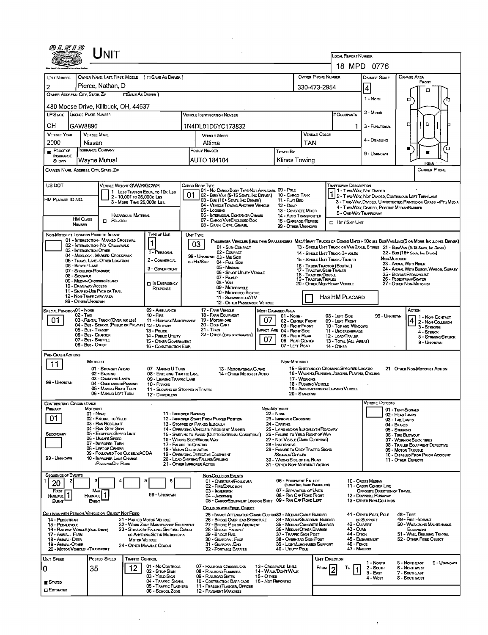| <i>©LE1S</i>                                          | Unit                                                                                    |                                                                                |                                                                                                  |                                                     |                                                                           | <b>LOCAL REPORT NUMBER</b>                                      |                                                      |                                                                                                                                                          |
|-------------------------------------------------------|-----------------------------------------------------------------------------------------|--------------------------------------------------------------------------------|--------------------------------------------------------------------------------------------------|-----------------------------------------------------|---------------------------------------------------------------------------|-----------------------------------------------------------------|------------------------------------------------------|----------------------------------------------------------------------------------------------------------------------------------------------------------|
|                                                       |                                                                                         |                                                                                |                                                                                                  |                                                     |                                                                           |                                                                 | 18 MPD 0776                                          |                                                                                                                                                          |
| <b>UMT NUMBER</b>                                     |                                                                                         | OWNER NAME: LAST, FIRST, MIDDLE ( C SAME AS DRIVER )                           |                                                                                                  |                                                     | <b>OWNER PHONE NUMBER</b>                                                 |                                                                 | <b>DAMAGE SCALE</b>                                  | <b>DAMAGE AREA</b>                                                                                                                                       |
| 2                                                     | Pierce, Nathan, D                                                                       |                                                                                |                                                                                                  |                                                     | 330-473-2954                                                              |                                                                 |                                                      | FRONT                                                                                                                                                    |
| OWNER ADDRESS: CITY, STATE, ZIP                       |                                                                                         | <b>CISAME AS DRIVER 1</b>                                                      |                                                                                                  |                                                     |                                                                           |                                                                 | $\vert 4 \vert$                                      | □                                                                                                                                                        |
|                                                       | 480 Moose Drive, Killbuck, OH, 44637                                                    |                                                                                |                                                                                                  |                                                     |                                                                           |                                                                 | 1 - None                                             | ם<br>п                                                                                                                                                   |
| <b>LP STATE</b>                                       | <b>LICENSE PLATE NUMBER</b>                                                             |                                                                                | Vehicle Identification Number                                                                    |                                                     |                                                                           | # Occupants                                                     | 2 - MINOR                                            |                                                                                                                                                          |
| он                                                    | GAW8896                                                                                 |                                                                                | 1N4DL01D5YC173832                                                                                |                                                     |                                                                           | 1                                                               | 3 - FUNCTIONAL                                       | α<br>□                                                                                                                                                   |
| <b>VEHICLE YEAR</b>                                   | <b>VEHICLE MAKE</b>                                                                     |                                                                                | <b>VEHICLE MODEL</b>                                                                             |                                                     | VEHICLE COLOR                                                             |                                                                 | 4 - Disabling                                        |                                                                                                                                                          |
| 2000<br>PROOF OF                                      | Nissan<br>INSURANCE COMPANY                                                             |                                                                                | Altima<br><b>POLICY NUMBER</b>                                                                   |                                                     | TAN                                                                       |                                                                 |                                                      |                                                                                                                                                          |
| <b>INSURANCE</b><br><b>SHOWN</b>                      | Wayne Mutual                                                                            |                                                                                | AUTO 184104                                                                                      | Toweo By                                            | Klines Towing                                                             |                                                                 | 9 - UMXNOWN                                          | п                                                                                                                                                        |
| CARRIER NAME, ADDRESS, CITY, STATE, ZIP               |                                                                                         |                                                                                |                                                                                                  |                                                     |                                                                           |                                                                 |                                                      | <b>CARRIER PHONE</b>                                                                                                                                     |
|                                                       |                                                                                         |                                                                                |                                                                                                  |                                                     |                                                                           |                                                                 |                                                      |                                                                                                                                                          |
| US DOT                                                | VEHICLE WEIGHT GVWR/GCWR                                                                | 1 - LESS THAN OR EQUAL TO 10K LBS                                              | CARGO BODY TYPE<br>01 - No CARGO BODY TYPE/NOT APPLICABL 09 - POLE                               |                                                     |                                                                           | <b>TRAFFICWAY DESCRIPTION</b>                                   |                                                      |                                                                                                                                                          |
| HM PLACARD ID NO.                                     |                                                                                         | 2 - 10,001 To 26,000K LBS<br>3 - MORE THAN 26,000K LBS.                        | 01<br>02 - Bus/Van (9-15 Seats, Inc Driver)<br>03 - Bus (16+ SEATS, INC DRIVER)                  | 11 - FLAT BED                                       | 10 - Cargo Tank                                                           |                                                                 |                                                      | 1 1 - T WO-WAY, NOT DIVIDED<br>1 2 - T WO-WAY, NOT DIVIDED, CONTINUOUS LEFT TURN LANE<br>3 - Two-Way, DMDED, UNPROTECTED (PAINTED OR GRASS >> FT.) MEDIA |
|                                                       |                                                                                         |                                                                                | 04 - VEHICLE TOWING ANOTHER VEHICLE<br>05 - Logging                                              | 12 - Dump                                           | 13 - CONCRETE MIXER                                                       | 5 - ONE-WAY TRAFFICWAY                                          | 4 - Two-Way, Divided, Positive MedianBarrier         |                                                                                                                                                          |
| NUMBER                                                | HAZARDOUS MATERIAL<br><b>HM CLASS</b><br>$\Box$ Related                                 |                                                                                | 06 - INTERMODAL CONTAINER CHASIS<br>07 - CARGO VAN/ENCLOSED BOX                                  |                                                     | 14 - Auto Transporter<br>15 - GARBAGE / REFUSE                            | □ HIT / SKIP UNT                                                |                                                      |                                                                                                                                                          |
|                                                       | NON-MOTORIST LOCATION PRIOR TO IMPACT                                                   | TYPE OF USE                                                                    | 08 - GRAIN, CHIPS, GRAVEL<br>UNT TYPE                                                            |                                                     | 99 - OTHER/UNKNOWN                                                        |                                                                 |                                                      |                                                                                                                                                          |
|                                                       | 01 - INTERSECTION - MARKED CROSSWAL<br>02 - INTERSECTION - NO CROSSWALK                 | 1                                                                              | 03                                                                                               |                                                     |                                                                           |                                                                 |                                                      | PASSENGER VEHICLES (LESS THAN 9 PASSENGERS MEDIMEANY TRUCKS OR COMBO UNITS > 10K LBS BUSIVAN/LIMO(9 OR MORE INCLUDING DRIVER)                            |
|                                                       | 03 - INTERSECTION OTHER<br>04 - MIDBLOCK - MARKED CROSSWALK                             | 1 - PERSONAL                                                                   | 01 - Sub-COMPACT<br>02 - COMPACT                                                                 |                                                     |                                                                           | 14 - SINGLE UNIT TRUCK: 3+ AXLES                                |                                                      | 13 - SINGLE UNIT TRUCK OR VAN ZAXLE, 6 TIRES 21 - BUS/VAN (9-15 SEATS, INC DRIVER)<br>22 - Bus (15+ Sears Inc Driver)                                    |
| 06 - BICYCLE LANE                                     | 05 - TRAVEL LANE - OTHER LOCATION                                                       | 2 - COMMERCIAL                                                                 | 99 - UNKNOWN 03 - MID SIZE<br>ов Ніт/Sкір<br>04 - Full Size                                      |                                                     |                                                                           | 15 - SINGLE UNIT TRUCK / TRAILER<br>15 - Truck/Tractor (Bostal) | NON-MOTORIST                                         | 23 - AMMAL WITH RIDER                                                                                                                                    |
| 08 - Sidewalk                                         | 07 - SHOULDER/ROADSIDE                                                                  | 3 - GOVERNMENT                                                                 | 05 - MINIVAN<br>06 - Sport Unuty Venicus                                                         |                                                     | 17 - Tractor/Seni-Traler<br><b>18 - Tractor/Double</b>                    |                                                                 |                                                      | 24 - ANIMAL WITH BUGGY, WAGON, SURREY<br>25 - BICYCLE/PEDACYCLIST                                                                                        |
|                                                       | 09 - MEDIAN CROSSING ISLAND<br>10 - DRIVE WAY ACCESS                                    | <b>DIN EMERGENCY</b>                                                           | 07 - Pickup<br>08 - Van                                                                          |                                                     | 19 - TRACTOR/TRIPLES                                                      | 20 - OTHER MED/HEAVY VEHICLE                                    |                                                      | 26 - PEDESTRIAN/SKATER<br>27 - OTHER NON-MOTORIST                                                                                                        |
|                                                       | 11 - SHARED-USE PATH OR TRAIL<br>12 - NON-TRAFFICWAY AREA                               | RESPONSE                                                                       | 09 - Motorcycle<br>10 - Motorized Bicycle<br>11 - SNOWMOBILE/ATV                                 |                                                     |                                                                           | HAS HM PLACARD                                                  |                                                      |                                                                                                                                                          |
|                                                       | 99 - OTHER/UNKNOWN                                                                      |                                                                                | 12 - OTHER PASSENGER VEHICLE                                                                     |                                                     |                                                                           |                                                                 |                                                      |                                                                                                                                                          |
| SPECIAL FUNCTION 01 - NONE                            | 02 - Taxi                                                                               | 09 - AMBULANCE<br>$10 -$ Fire                                                  | 17 - FARM VEHICLE<br>18 - FARM EQUIPMENT                                                         | Most Damaged Area<br>$01 - \text{Now}$              |                                                                           | 08 - LEFT SIDE                                                  | 99 - Unknown                                         | Action<br>1 - Non-Contact                                                                                                                                |
| 01                                                    | 03 - RENTAL TRUCK (OVER 10K LBS)<br>04 - Bus - SCHOOL (PUBLIC OR PRIVATE) 12 - MILITARY | 11 - HIGHWAY/MAINTENANCE                                                       | 19 - Мотовноме<br>20 - Gouf CART                                                                 | 07                                                  | 02 - CENTER FRONT<br>03 - RIGHT FRONT                                     | 09 - LEFT FRONT<br>10 - TOP AND WINDOWS                         |                                                      | 2 - Non-Collision<br>3 - STRIKING                                                                                                                        |
|                                                       | 05 - Bus - Transit<br>06 - Bus - Charter                                                | 13 - Pouce<br>14 - Pusuc Unury                                                 | 21 - TRAIN<br>22 - OTHER (EXPLAN IN NARATIVE)                                                    | IMPACT ARE 04 - RIGHT SIDE<br>07                    | 05 - Right Rear                                                           | 11 - UNDERCARRIAGE<br>12 - LOAD/TRAILER                         |                                                      | 4 - STRUCK<br>5 - STRIKING/STRUCK                                                                                                                        |
|                                                       | 07 - Bus - SHUTTLE<br>08 - Bus - OTHER                                                  | 15 - Other Goverwient<br>16 - CONSTRUCTION EQP.                                |                                                                                                  |                                                     | 06 - REAR CENTER<br>07 - LEFT REAR                                        | 13 - TOTAL (ALL AREAS)<br>14 - OTHER                            |                                                      | 9 - Unknown                                                                                                                                              |
| PRE- CRASH ACTIONS                                    |                                                                                         |                                                                                |                                                                                                  |                                                     |                                                                           |                                                                 |                                                      |                                                                                                                                                          |
| 11                                                    | <b>MOTORIST</b><br>01 - STRAIGHT AHEAD                                                  | 07 - MAKING U-TURN                                                             | 13 - NEGOTIATING A CURVE                                                                         |                                                     | Non-Motorust                                                              | 15 - ENTERING OR CROSSING SPECIFIED LOCATIO                     |                                                      | 21 - OTHER NON-MOTORIST ACTION                                                                                                                           |
| 99 - UNKNOWN                                          | 02 - BACKING<br>03 - CHANGING LANES                                                     | 08 - ENTERING TRAFFIC LANE<br>09 - LEAVING TRAFFIC LANE                        | 14 - OTHER MOTORIST ACTIO                                                                        |                                                     | 17 - WORKING                                                              | 16 - WALKING RUNNING, JOGGING, PLAYING, CYCLING                 |                                                      |                                                                                                                                                          |
|                                                       | 04 - OVERTAKING/PASSING<br>05 - MAKING RIGHT TURN                                       | 10 - PARKED<br>11 - SLOWING OR STOPPED IN TRAFFIC                              |                                                                                                  |                                                     | 18 - PUSHING VEHICLE                                                      | 19 - APPROACHING OR LEAVING VEHICLE                             |                                                      |                                                                                                                                                          |
|                                                       | 06 - MAKING LEFT TURN                                                                   | 12 - DRIVERLESS                                                                |                                                                                                  |                                                     | 20 - STANDING                                                             |                                                                 | <b>VEHICLE DEFECTS</b>                               |                                                                                                                                                          |
| CONTRIBUTING CIRCUMSTANCE<br>PRIMARY                  | MOTORIST<br>$01 - None$                                                                 |                                                                                | 11 - IMPROPER BACKING                                                                            | NON-MOTORIST<br><b>22 - Nove</b>                    |                                                                           |                                                                 |                                                      | 01 - TURN SIGNALS                                                                                                                                        |
| 01                                                    | 02 - FALURE TO YIELD<br>03 - RAN RED LIGHT                                              |                                                                                | 12 - IMPROPER START FROM PARKED POSITION<br>13 - Stopped or Parked LLEGALLY                      | 23 - IMPROPER CROSSING<br>24 - DARTING              |                                                                           |                                                                 |                                                      | 02 - HEAD LAMPS<br>03 - TAL LAMPS                                                                                                                        |
| SECONDARY                                             | 04 - Ran Stop Sign<br>05 - Exceeded Speed Limit                                         |                                                                                | 14 - Operating Vehicle in Negligent Manner<br>15 - SWERING TO AVOID (DUE TO EXTERNAL CONDITIONS) |                                                     | 25 - LYING AND/OR LLEGALLY IN ROADWAY<br>26 - FAURE TO YIELD RIGHT OF WAY |                                                                 | 04 - BRAKES<br>05 - Steering                         |                                                                                                                                                          |
|                                                       | 06 - UNSAFE SPEED<br>07 - Improper Turn                                                 |                                                                                | 15 - Wrong Side/Wrong Way<br>17 - FALURE TO CONTROL                                              | 28 - INATTENTIVE                                    | 27 - NOT VISIBLE (DARK CLOTHING)                                          |                                                                 |                                                      | 06 - TIRE BLOWOUT<br>07 - WORN OR SLICK TIRES<br>08 - TRAILER EQUIPMENT DEFECTIVE                                                                        |
|                                                       | 08 - LEFT OF CENTER<br>09 - FOLLOWED TOO CLOSELY/ACDA                                   |                                                                                | <b>18 - VISION OBSTRUCTION</b><br>19 - OPERATING DEFECTIVE EQUIPMENT                             | /SIGNALS/OFFICER                                    | 29 - FAILURE TO OBEY TRAFFIC SIGNS                                        |                                                                 |                                                      | 09 - MOTOR TROUBLE<br>10 - DISABLED FROM PRIOR ACCIDENT                                                                                                  |
| 99 - UNKNOWN                                          | 10 - IMPROPER LANE CHANGE<br>PASSING OFF ROAD                                           |                                                                                | 20 - LOAD SHIFTING/FALLING/SPILLING<br>21 - OTHER IMPROPER ACTION                                |                                                     | 30 - WRONG SIDE OF THE ROAD<br>31 - OTHER NON-MOTORIST ACTION             |                                                                 |                                                      | 11 - OTHER DEFECTS                                                                                                                                       |
| <b>SEQUENCE OF EVENTS</b>                             |                                                                                         |                                                                                | <b>NON-COLUSION EVENTS</b>                                                                       |                                                     |                                                                           |                                                                 |                                                      |                                                                                                                                                          |
| 20                                                    |                                                                                         | 6                                                                              | 01 - OVERTURN/ROLLOVER<br>02 - FIRE/EXPLOSION                                                    |                                                     | 06 - EQUIPMENT FAILURE<br>(BLOWN TIRE, BRAKE FAILIRE, ETC)                |                                                                 | 10 - Cross Median<br>11 - Cross CENTER LINE          |                                                                                                                                                          |
| FIRST<br>HARMFUL                                      | Mod<br><b>HARMFUL</b>                                                                   | 99 - UNKNOWN                                                                   | 03 - IMMERSION<br>04 - JACKNIFE                                                                  |                                                     | 07 - SEPARATION OF UNITS<br>08 - RAN OFF ROAD RIGHT                       |                                                                 | OPPOSITE DIRECTION OF TRAVEL<br>12 - DOWNNLL RUNAWAY |                                                                                                                                                          |
| Event                                                 | Event                                                                                   |                                                                                | 05 - CARGO/EQUIPMENT LOSS OR SHIFT<br>COLLISION WITH FIXED, OBJECT                               |                                                     | 09 - RAN OFF ROAD LEFT                                                    |                                                                 | 13 - Other Non-Collision                             |                                                                                                                                                          |
| 14 - PEDESTRIAN                                       | COLLISION WITH PERSON, VEHICLE OR OBJECT NOT FIXED                                      | 21 - PARKED MOTOR VEHICLE                                                      | 25 - IMPACT ATTENUATOR/CRASH CUSHION33 - MEDIAN CABLE BARRIER<br>26 - BRIDGE OVERHEAD STRUCTURE  |                                                     | 34 - MEDIAN GUARDRAIL BARRIER                                             |                                                                 | 41 - OTHER POST, POLE<br>DR SUPPORT                  | 48 - TREE<br>49 - FIRE HYDRANT                                                                                                                           |
| 15 - PEDALCYCLE<br>16 - RAILWAY VEHICLE (TRAN, ENGRE) |                                                                                         | 22 - WORK ZONE MAINTENANCE EQUIPMENT<br>23 - STRUCK BY FALLING, SHIFTING CARGO | 27 - BRIDGE PIER OR ABUTMENT<br>28 - BRIDGE PARAPET                                              |                                                     | 35 - MEDIAN CONCRETE BARRIER<br>36 - MEDIAN OTHER BARRIER                 | 42 - CULVERT<br>43 - Cura                                       |                                                      | 50 - WORK ZONE MAINTENANCE<br>EQUIPMENT                                                                                                                  |
| 17 - Animal - Farm<br>18 - ANMAL - DEER               |                                                                                         | OR ANYTHING SET IN MOTION BY A<br><b>MOTOR VEHICLE</b>                         | 29 - BRIDGE RAIL<br>30 - GUARDRAIL FACE                                                          |                                                     | 37 - TRAFFIC SIGN POST<br>38 - OVERHEAD SIGN POST                         | 44 - Отсн                                                       | 45 - Embankment                                      | 51 - WALL BUILDING, TUNNEL<br>52 - OTHER FIXED OBJECT                                                                                                    |
| 19 - ANIMAL-OTHER<br>20 - MOTOR VEHICLE IN TRANSPORT  |                                                                                         | 24 - OTHER MOVABLE OBJECT                                                      | 31 - Guardral End<br>32 - PORTABLE BARRIER                                                       | 40 - Unury Pous                                     | 39 - Light Auminaries Support                                             | 46 - Fence<br>47 - MAILBOX                                      |                                                      |                                                                                                                                                          |
| UNIT SPEED                                            | POSTED SPEED                                                                            | Traffic Control                                                                |                                                                                                  |                                                     |                                                                           | UNT DIRECTION                                                   |                                                      |                                                                                                                                                          |
| 0                                                     | 35                                                                                      | 01 - No Controls<br>12.<br>02 - S Top Sign                                     | 07 - RAILROAD CROSSBUCKS<br>08 - RAILROAD FLASHERS                                               | <b>13 - CROSSWALK LINES</b><br>14 - WAUK/DON'T WALK | FROM                                                                      | To                                                              | 1 - North<br>2 - South                               | 9 - UNKNOWN<br>5 - NORTHEAST<br><b>6 - NORTHWEST</b>                                                                                                     |
| <b>■</b> Stated                                       |                                                                                         | 03 - YIELD SIGN<br>04 - Traffic Signal                                         | 09 - RAILROAD GATES<br>10 - Costruction Barricade                                                | <b>15 - O THER</b><br>16 - Not Reported             |                                                                           |                                                                 | $3 -$ East<br>4 - WEST                               | 7 - SOUTHEAST<br>8 - Southwest                                                                                                                           |
| <b>CI ESTIMATED</b>                                   |                                                                                         | 05 - TRAFFIC FLASHERS<br>06 - SCHOOL ZONE                                      | 11 - Person (Flagger, Officer<br>12 - PAVEMENT MARKINGS                                          |                                                     |                                                                           |                                                                 |                                                      |                                                                                                                                                          |

 $\Delta$ 

 $\frac{1}{2}$  ,  $\frac{1}{2}$ 

 $\overline{\phantom{a}}$ 

 $\sim 10$